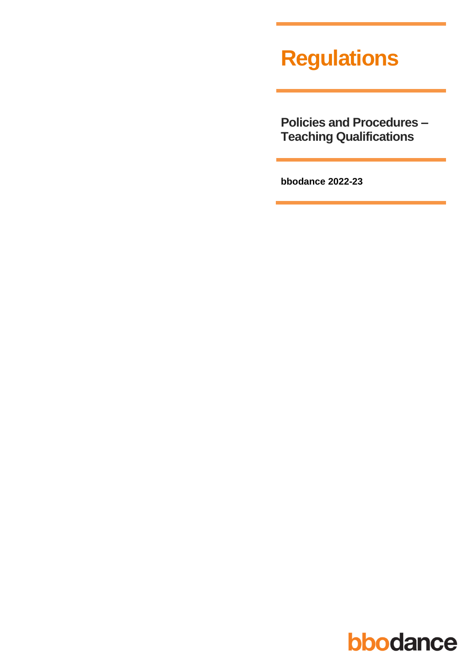# **Regulations**

**Policies and Procedures – Teaching Qualifications**

**bbodance 2022-23**

# bbodance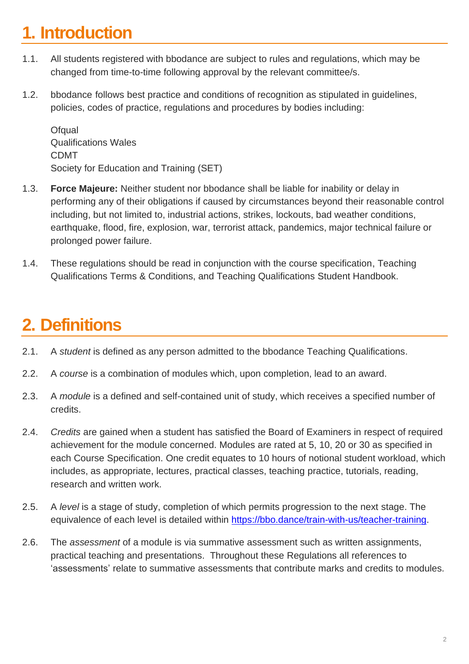## **1. Introduction**

- 1.1. All students registered with bbodance are subject to rules and regulations, which may be changed from time-to-time following approval by the relevant committee/s.
- 1.2. bbodance follows best practice and conditions of recognition as stipulated in guidelines, policies, codes of practice, regulations and procedures by bodies including:

**Ofqual** Qualifications Wales CDMT Society for Education and Training (SET)

- 1.3. **Force Majeure:** Neither student nor bbodance shall be liable for inability or delay in performing any of their obligations if caused by circumstances beyond their reasonable control including, but not limited to, industrial actions, strikes, lockouts, bad weather conditions, earthquake, flood, fire, explosion, war, terrorist attack, pandemics, major technical failure or prolonged power failure.
- 1.4. These regulations should be read in conjunction with the course specification, Teaching Qualifications Terms & Conditions, and Teaching Qualifications Student Handbook.

### **2. Definitions**

- 2.1. A *student* is defined as any person admitted to the bbodance Teaching Qualifications.
- 2.2. A *course* is a combination of modules which, upon completion, lead to an award.
- 2.3. A *module* is a defined and self-contained unit of study, which receives a specified number of credits.
- 2.4. *Credits* are gained when a student has satisfied the Board of Examiners in respect of required achievement for the module concerned. Modules are rated at 5, 10, 20 or 30 as specified in each Course Specification. One credit equates to 10 hours of notional student workload, which includes, as appropriate, lectures, practical classes, teaching practice, tutorials, reading, research and written work.
- 2.5. A *level* is a stage of study, completion of which permits progression to the next stage. The equivalence of each level is detailed within [https://bbo.dance/train-with-us/teacher-training.](https://bbo.dance/train-with-us/teacher-training)
- 2.6. The *assessment* of a module is via summative assessment such as written assignments, practical teaching and presentations. Throughout these Regulations all references to 'assessments' relate to summative assessments that contribute marks and credits to modules.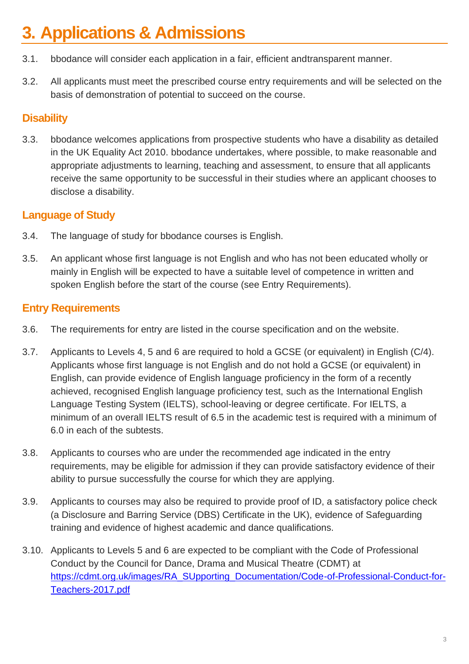## **3. Applications & Admissions**

- 3.1. bbodance will consider each application in a fair, efficient andtransparent manner.
- 3.2. All applicants must meet the prescribed course entry requirements and will be selected on the basis of demonstration of potential to succeed on the course.

### **Disability**

3.3. bbodance welcomes applications from prospective students who have a disability as detailed in the UK Equality Act 2010. bbodance undertakes, where possible, to make reasonable and appropriate adjustments to learning, teaching and assessment, to ensure that all applicants receive the same opportunity to be successful in their studies where an applicant chooses to disclose a disability.

### **Language of Study**

- 3.4. The language of study for bbodance courses is English.
- 3.5. An applicant whose first language is not English and who has not been educated wholly or mainly in English will be expected to have a suitable level of competence in written and spoken English before the start of the course (see Entry Requirements).

### **Entry Requirements**

- 3.6. The requirements for entry are listed in the course specification and on the website.
- 3.7. Applicants to Levels 4, 5 and 6 are required to hold a GCSE (or equivalent) in English (C/4). Applicants whose first language is not English and do not hold a GCSE (or equivalent) in English, can provide evidence of English language proficiency in the form of a recently achieved, recognised English language proficiency test, such as the International English Language Testing System (IELTS), school-leaving or degree certificate. For IELTS, a minimum of an overall IELTS result of 6.5 in the academic test is required with a minimum of 6.0 in each of the subtests.
- 3.8. Applicants to courses who are under the recommended age indicated in the entry requirements, may be eligible for admission if they can provide satisfactory evidence of their ability to pursue successfully the course for which they are applying.
- 3.9. Applicants to courses may also be required to provide proof of ID, a satisfactory police check (a Disclosure and Barring Service (DBS) Certificate in the UK), evidence of Safeguarding training and evidence of highest academic and dance qualifications.
- 3.10. Applicants to Levels 5 and 6 are expected to be compliant with the Code of Professional Conduct by the Council for Dance, Drama and Musical Theatre (CDMT) at [https://cdmt.org.uk/images/RA\\_SUpporting\\_Documentation/Code-of-Professional-Conduct-for-](https://cdmt.org.uk/images/RA_SUpporting_Documentation/Code-of-Professional-Conduct-for-Teachers-2017.pdf)[Teachers-2017.pdf](https://cdmt.org.uk/images/RA_SUpporting_Documentation/Code-of-Professional-Conduct-for-Teachers-2017.pdf)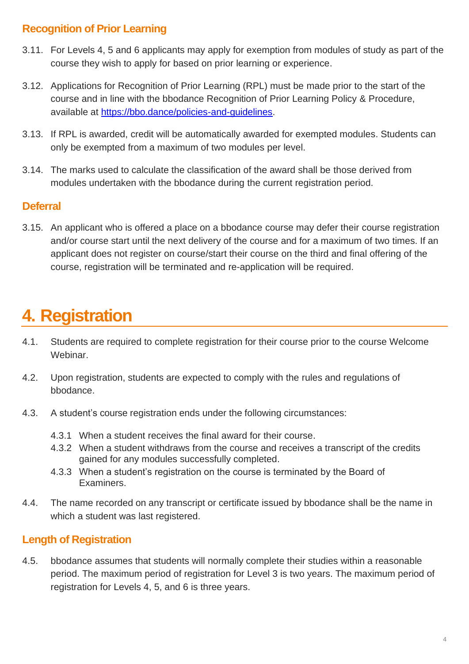### **Recognition of Prior Learning**

- 3.11. For Levels 4, 5 and 6 applicants may apply for exemption from modules of study as part of the course they wish to apply for based on prior learning or experience.
- 3.12. Applications for Recognition of Prior Learning (RPL) must be made prior to the start of the course and in line with the bbodance Recognition of Prior Learning Policy & Procedure, available at [https://bbo.dance/policies-and-guidelines.](https://bbo.dance/policies-and-guidelines)
- 3.13. If RPL is awarded, credit will be automatically awarded for exempted modules. Students can only be exempted from a maximum of two modules per level.
- 3.14. The marks used to calculate the classification of the award shall be those derived from modules undertaken with the bbodance during the current registration period.

### **Deferral**

3.15. An applicant who is offered a place on a bbodance course may defer their course registration and/or course start until the next delivery of the course and for a maximum of two times. If an applicant does not register on course/start their course on the third and final offering of the course, registration will be terminated and re-application will be required.

### **4. Registration**

- 4.1. Students are required to complete registration for their course prior to the course Welcome Webinar.
- 4.2. Upon registration, students are expected to comply with the rules and regulations of bbodance.
- 4.3. A student's course registration ends under the following circumstances:
	- 4.3.1 When a student receives the final award for their course.
	- 4.3.2 When a student withdraws from the course and receives a transcript of the credits gained for any modules successfully completed.
	- 4.3.3 When a student's registration on the course is terminated by the Board of Examiners.
- 4.4. The name recorded on any transcript or certificate issued by bbodance shall be the name in which a student was last registered.

### **Length of Registration**

4.5. bbodance assumes that students will normally complete their studies within a reasonable period. The maximum period of registration for Level 3 is two years. The maximum period of registration for Levels 4, 5, and 6 is three years.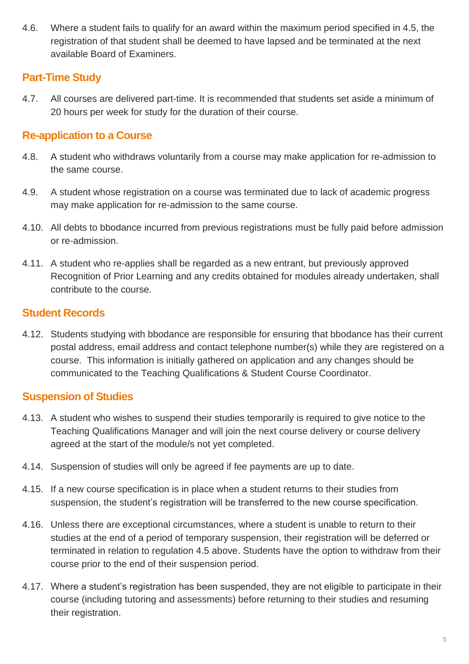4.6. Where a student fails to qualify for an award within the maximum period specified in 4.5, the registration of that student shall be deemed to have lapsed and be terminated at the next available Board of Examiners.

### **Part-Time Study**

4.7. All courses are delivered part-time. It is recommended that students set aside a minimum of 20 hours per week for study for the duration of their course.

### **Re-application to a Course**

- 4.8. A student who withdraws voluntarily from a course may make application for re-admission to the same course.
- 4.9. A student whose registration on a course was terminated due to lack of academic progress may make application for re-admission to the same course.
- 4.10. All debts to bbodance incurred from previous registrations must be fully paid before admission or re-admission.
- 4.11. A student who re-applies shall be regarded as a new entrant, but previously approved Recognition of Prior Learning and any credits obtained for modules already undertaken, shall contribute to the course.

### **Student Records**

4.12. Students studying with bbodance are responsible for ensuring that bbodance has their current postal address, email address and contact telephone number(s) while they are registered on a course. This information is initially gathered on application and any changes should be communicated to the Teaching Qualifications & Student Course Coordinator.

### **Suspension of Studies**

- 4.13. A student who wishes to suspend their studies temporarily is required to give notice to the Teaching Qualifications Manager and will join the next course delivery or course delivery agreed at the start of the module/s not yet completed.
- 4.14. Suspension of studies will only be agreed if fee payments are up to date.
- 4.15. If a new course specification is in place when a student returns to their studies from suspension, the student's registration will be transferred to the new course specification.
- 4.16. Unless there are exceptional circumstances, where a student is unable to return to their studies at the end of a period of temporary suspension, their registration will be deferred or terminated in relation to regulation 4.5 above. Students have the option to withdraw from their course prior to the end of their suspension period.
- 4.17. Where a student's registration has been suspended, they are not eligible to participate in their course (including tutoring and assessments) before returning to their studies and resuming their registration.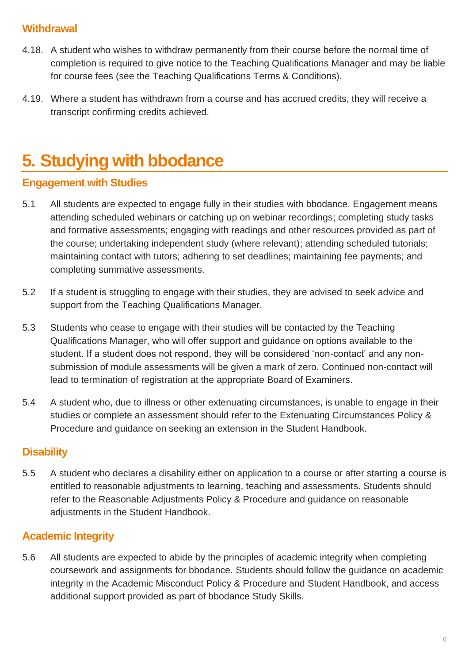### **Withdrawal**

- 4.18. A student who wishes to withdraw permanently from their course before the normal time of completion is required to give notice to the Teaching Qualifications Manager and may be liable for course fees (see the Teaching Qualifications Terms & Conditions).
- 4.19. Where a student has withdrawn from a course and has accrued credits, they will receive a transcript confirming credits achieved.

### **5. Studying with bbodance**

### **Engagement with Studies**

- 5.1 All students are expected to engage fully in their studies with bbodance. Engagement means attending scheduled webinars or catching up on webinar recordings; completing study tasks and formative assessments; engaging with readings and other resources provided as part of the course; undertaking independent study (where relevant); attending scheduled tutorials; maintaining contact with tutors; adhering to set deadlines; maintaining fee payments; and completing summative assessments.
- 5.2 If a student is struggling to engage with their studies, they are advised to seek advice and support from the Teaching Qualifications Manager.
- 5.3 Students who cease to engage with their studies will be contacted by the Teaching Qualifications Manager, who will offer support and guidance on options available to the student. If a student does not respond, they will be considered 'non-contact' and any nonsubmission of module assessments will be given a mark of zero. Continued non-contact will lead to termination of registration at the appropriate Board of Examiners.
- 5.4 A student who, due to illness or other extenuating circumstances, is unable to engage in their studies or complete an assessment should refer to the Extenuating Circumstances Policy & Procedure and guidance on seeking an extension in the Student Handbook.

#### **Disability**

5.5 A student who declares a disability either on application to a course or after starting a course is entitled to reasonable adjustments to learning, teaching and assessments. Students should refer to the Reasonable Adjustments Policy & Procedure and guidance on reasonable adjustments in the Student Handbook.

### **Academic Integrity**

5.6 All students are expected to abide by the principles of academic integrity when completing coursework and assignments for bbodance. Students should follow the guidance on academic integrity in the Academic Misconduct Policy & Procedure and Student Handbook, and access additional support provided as part of bbodance Study Skills.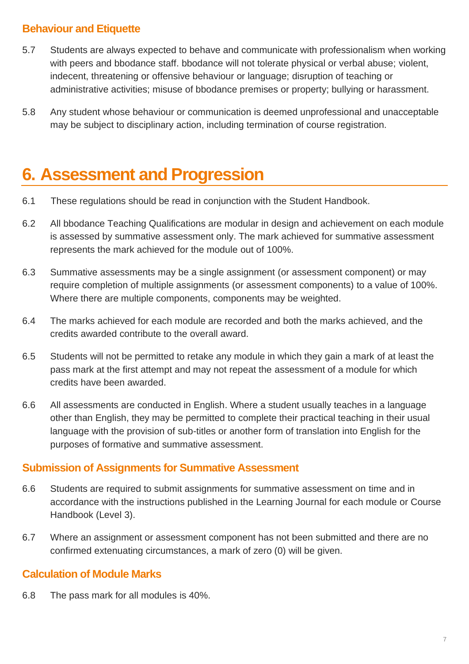### **Behaviour and Etiquette**

- 5.7 Students are always expected to behave and communicate with professionalism when working with peers and bbodance staff. bbodance will not tolerate physical or verbal abuse; violent, indecent, threatening or offensive behaviour or language; disruption of teaching or administrative activities; misuse of bbodance premises or property; bullying or harassment.
- 5.8 Any student whose behaviour or communication is deemed unprofessional and unacceptable may be subject to disciplinary action, including termination of course registration.

### **6. Assessment and Progression**

- 6.1 These regulations should be read in conjunction with the Student Handbook.
- 6.2 All bbodance Teaching Qualifications are modular in design and achievement on each module is assessed by summative assessment only. The mark achieved for summative assessment represents the mark achieved for the module out of 100%.
- 6.3 Summative assessments may be a single assignment (or assessment component) or may require completion of multiple assignments (or assessment components) to a value of 100%. Where there are multiple components, components may be weighted.
- 6.4 The marks achieved for each module are recorded and both the marks achieved, and the credits awarded contribute to the overall award.
- 6.5 Students will not be permitted to retake any module in which they gain a mark of at least the pass mark at the first attempt and may not repeat the assessment of a module for which credits have been awarded.
- 6.6 All assessments are conducted in English. Where a student usually teaches in a language other than English, they may be permitted to complete their practical teaching in their usual language with the provision of sub-titles or another form of translation into English for the purposes of formative and summative assessment.

### **Submission of Assignments for Summative Assessment**

- 6.6 Students are required to submit assignments for summative assessment on time and in accordance with the instructions published in the Learning Journal for each module or Course Handbook (Level 3).
- 6.7 Where an assignment or assessment component has not been submitted and there are no confirmed extenuating circumstances, a mark of zero (0) will be given.

### **Calculation of Module Marks**

6.8 The pass mark for all modules is 40%.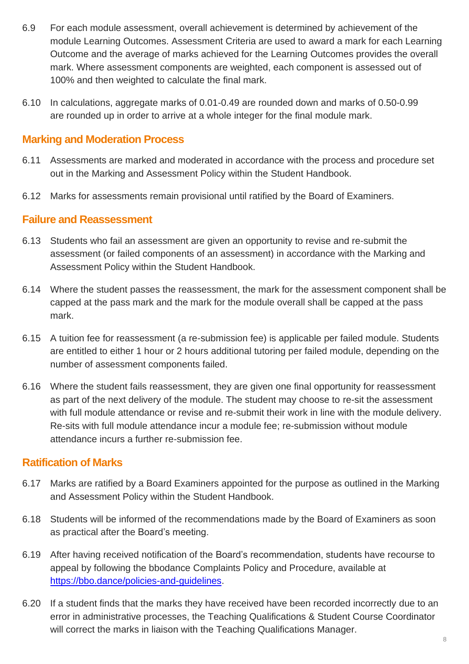- 6.9 For each module assessment, overall achievement is determined by achievement of the module Learning Outcomes. Assessment Criteria are used to award a mark for each Learning Outcome and the average of marks achieved for the Learning Outcomes provides the overall mark. Where assessment components are weighted, each component is assessed out of 100% and then weighted to calculate the final mark.
- 6.10 In calculations, aggregate marks of 0.01-0.49 are rounded down and marks of 0.50-0.99 are rounded up in order to arrive at a whole integer for the final module mark.

#### **Marking and Moderation Process**

- 6.11 Assessments are marked and moderated in accordance with the process and procedure set out in the Marking and Assessment Policy within the Student Handbook.
- 6.12 Marks for assessments remain provisional until ratified by the Board of Examiners.

#### **Failure and Reassessment**

- 6.13 Students who fail an assessment are given an opportunity to revise and re-submit the assessment (or failed components of an assessment) in accordance with the Marking and Assessment Policy within the Student Handbook.
- 6.14 Where the student passes the reassessment, the mark for the assessment component shall be capped at the pass mark and the mark for the module overall shall be capped at the pass mark.
- 6.15 A tuition fee for reassessment (a re-submission fee) is applicable per failed module. Students are entitled to either 1 hour or 2 hours additional tutoring per failed module, depending on the number of assessment components failed.
- 6.16 Where the student fails reassessment, they are given one final opportunity for reassessment as part of the next delivery of the module. The student may choose to re-sit the assessment with full module attendance or revise and re-submit their work in line with the module delivery. Re-sits with full module attendance incur a module fee; re-submission without module attendance incurs a further re-submission fee.

#### **Ratification of Marks**

- 6.17 Marks are ratified by a Board Examiners appointed for the purpose as outlined in the Marking and Assessment Policy within the Student Handbook.
- 6.18 Students will be informed of the recommendations made by the Board of Examiners as soon as practical after the Board's meeting.
- 6.19 After having received notification of the Board's recommendation, students have recourse to appeal by following the bbodance Complaints Policy and Procedure, available at [https://bbo.dance/policies-and-guidelines.](https://bbo.dance/policies-and-guidelines)
- 6.20 If a student finds that the marks they have received have been recorded incorrectly due to an error in administrative processes, the Teaching Qualifications & Student Course Coordinator will correct the marks in liaison with the Teaching Qualifications Manager.